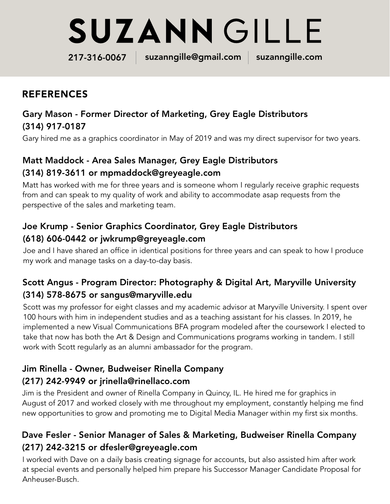# **SUZANN GILLE**

217-316-0067 suzanngille@gmail.com suzanngille.com

## REFERENCES

#### Gary Mason - Former Director of Marketing, Grey Eagle Distributors (314) 917-0187

Gary hired me as a graphics coordinator in May of 2019 and was my direct supervisor for two years.

#### Matt Maddock - Area Sales Manager, Grey Eagle Distributors (314) 819-3611 or mpmaddock@greyeagle.com

Matt has worked with me for three years and is someone whom I regularly receive graphic requests from and can speak to my quality of work and ability to accommodate asap requests from the perspective of the sales and marketing team.

#### Joe Krump - Senior Graphics Coordinator, Grey Eagle Distributors (618) 606-0442 or jwkrump@greyeagle.com

Joe and I have shared an office in identical positions for three years and can speak to how I produce my work and manage tasks on a day-to-day basis.

### Scott Angus - Program Director: Photography & Digital Art, Maryville University (314) 578-8675 or sangus@maryville.edu

Scott was my professor for eight classes and my academic advisor at Maryville University. I spent over 100 hours with him in independent studies and as a teaching assistant for his classes. In 2019, he implemented a new Visual Communications BFA program modeled after the coursework I elected to take that now has both the Art & Design and Communications programs working in tandem. I still work with Scott regularly as an alumni ambassador for the program.

#### Jim Rinella - Owner, Budweiser Rinella Company (217) 242-9949 or jrinella@rinellaco.com

Jim is the President and owner of Rinella Company in Quincy, IL. He hired me for graphics in August of 2017 and worked closely with me throughout my employment, constantly helping me find new opportunities to grow and promoting me to Digital Media Manager within my first six months.

#### Dave Fesler - Senior Manager of Sales & Marketing, Budweiser Rinella Company (217) 242-3215 or dfesler@greyeagle.com

I worked with Dave on a daily basis creating signage for accounts, but also assisted him after work at special events and personally helped him prepare his Successor Manager Candidate Proposal for Anheuser-Busch.